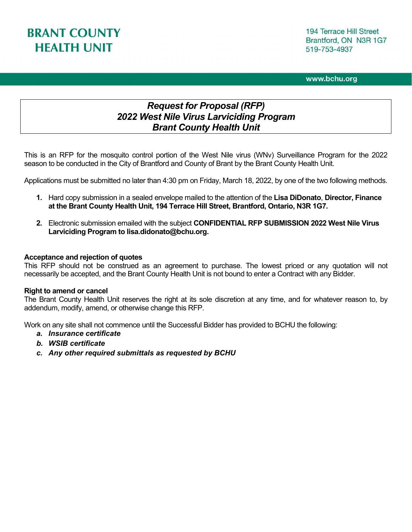#### www.bchu.org

# *Request for Proposal (RFP) 2022 West Nile Virus Larviciding Program Brant County Health Unit*

This is an RFP for the mosquito control portion of the West Nile virus (WNv) Surveillance Program for the 2022 season to be conducted in the City of Brantford and County of Brant by the Brant County Health Unit.

Applications must be submitted no later than 4:30 pm on Friday, March 18, 2022, by one of the two following methods.

- **1.** Hard copy submission in a sealed envelope mailed to the attention of the **Lisa DiDonato**, **Director, Finance at the Brant County Health Unit, 194 Terrace Hill Street, Brantford, Ontario, N3R 1G7.**
- **2.** Electronic submission emailed with the subject **CONFIDENTIAL RFP SUBMISSION 2022 West Nile Virus Larviciding Program to lisa.didonato@bchu.org.**

#### **Acceptance and rejection of quotes**

This RFP should not be construed as an agreement to purchase. The lowest priced or any quotation will not necessarily be accepted, and the Brant County Health Unit is not bound to enter a Contract with any Bidder.

#### **Right to amend or cancel**

The Brant County Health Unit reserves the right at its sole discretion at any time, and for whatever reason to, by addendum, modify, amend, or otherwise change this RFP.

Work on any site shall not commence until the Successful Bidder has provided to BCHU the following:

- *a. Insurance certificate*
- *b. WSIB certificate*
- *c. Any other required submittals as requested by BCHU*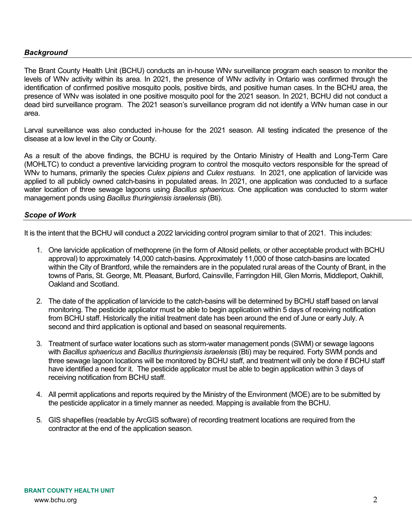## *Background*

The Brant County Health Unit (BCHU) conducts an in-house WNv surveillance program each season to monitor the levels of WNv activity within its area. In 2021, the presence of WNv activity in Ontario was confirmed through the identification of confirmed positive mosquito pools, positive birds, and positive human cases. In the BCHU area, the presence of WNv was isolated in one positive mosquito pool for the 2021 season. In 2021, BCHU did not conduct a dead bird surveillance program. The 2021 season's surveillance program did not identify a WNv human case in our area.

Larval surveillance was also conducted in-house for the 2021 season. All testing indicated the presence of the disease at a low level in the City or County.

As a result of the above findings, the BCHU is required by the Ontario Ministry of Health and Long-Term Care (MOHLTC) to conduct a preventive larviciding program to control the mosquito vectors responsible for the spread of WNv to humans, primarily the species *Culex pipiens* and *Culex restuans*. In 2021, one application of larvicide was applied to all publicly owned catch-basins in populated areas. In 2021, one application was conducted to a surface water location of three sewage lagoons using *Bacillus sphaericus.* One application was conducted to storm water management ponds using *Bacillus thuringiensis israelensis* (Bti).

#### *Scope of Work*

It is the intent that the BCHU will conduct a 2022 larviciding control program similar to that of 2021. This includes:

- 1. One larvicide application of methoprene (in the form of Altosid pellets, or other acceptable product with BCHU approval) to approximately 14,000 catch-basins. Approximately 11,000 of those catch-basins are located within the City of Brantford, while the remainders are in the populated rural areas of the County of Brant, in the towns of Paris, St. George, Mt. Pleasant, Burford, Cainsville, Farringdon Hill, Glen Morris, Middleport, Oakhill, Oakland and Scotland.
- 2. The date of the application of larvicide to the catch-basins will be determined by BCHU staff based on larval monitoring. The pesticide applicator must be able to begin application within 5 days of receiving notification from BCHU staff. Historically the initial treatment date has been around the end of June or early July. A second and third application is optional and based on seasonal requirements.
- 3. Treatment of surface water locations such as storm-water management ponds (SWM) or sewage lagoons with *Bacillus sphaericus* and *Bacillus thuringiensis israelensis* (Bti) may be required. Forty SWM ponds and three sewage lagoon locations will be monitored by BCHU staff, and treatment will only be done if BCHU staff have identified a need for it. The pesticide applicator must be able to begin application within 3 days of receiving notification from BCHU staff.
- 4. All permit applications and reports required by the Ministry of the Environment (MOE) are to be submitted by the pesticide applicator in a timely manner as needed. Mapping is available from the BCHU.
- 5. GIS shapefiles (readable by ArcGIS software) of recording treatment locations are required from the contractor at the end of the application season.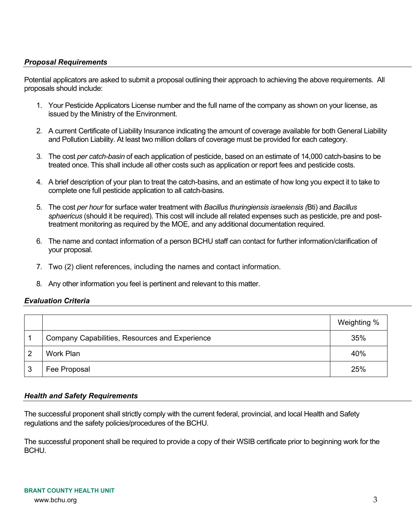# *Proposal Requirements*

Potential applicators are asked to submit a proposal outlining their approach to achieving the above requirements. All proposals should include:

- 1. Your Pesticide Applicators License number and the full name of the company as shown on your license, as issued by the Ministry of the Environment.
- 2. A current Certificate of Liability Insurance indicating the amount of coverage available for both General Liability and Pollution Liability. At least two million dollars of coverage must be provided for each category.
- 3. The cost *per catch-basin* of each application of pesticide, based on an estimate of 14,000 catch-basins to be treated once. This shall include all other costs such as application or report fees and pesticide costs.
- 4. A brief description of your plan to treat the catch-basins, and an estimate of how long you expect it to take to complete one full pesticide application to all catch-basins.
- 5. The cost *per hour* for surface water treatment with *Bacillus thuringiensis israelensis (*Bti) and *Bacillus sphaericus* (should it be required). This cost will include all related expenses such as pesticide, pre and posttreatment monitoring as required by the MOE, and any additional documentation required.
- 6. The name and contact information of a person BCHU staff can contact for further information/clarification of your proposal.
- 7. Two (2) client references, including the names and contact information.
- 8. Any other information you feel is pertinent and relevant to this matter.

# *Evaluation Criteria*

|   |                                                | Weighting % |
|---|------------------------------------------------|-------------|
|   | Company Capabilities, Resources and Experience | 35%         |
|   | Work Plan                                      | 40%         |
| J | Fee Proposal                                   | 25%         |

#### *Health and Safety Requirements*

The successful proponent shall strictly comply with the current federal, provincial, and local Health and Safety regulations and the safety policies/procedures of the BCHU.

The successful proponent shall be required to provide a copy of their WSIB certificate prior to beginning work for the BCHU.